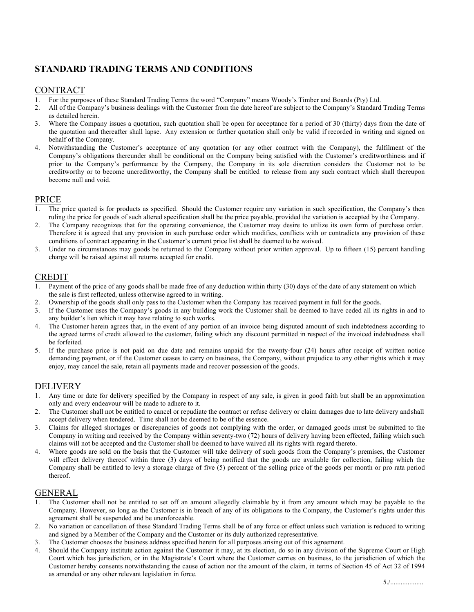# **STANDARD TRADING TERMS AND CONDITIONS**

## CONTRACT

- 1. For the purposes of these Standard Trading Terms the word "Company" means Woody's Timber and Boards (Pty) Ltd.
- 2. All of the Company's business dealings with the Customer from the date hereof are subject to the Company's Standard Trading Terms as detailed herein.
- 3. Where the Company issues a quotation, such quotation shall be open for acceptance for a period of 30 (thirty) days from the date of the quotation and thereafter shall lapse. Any extension or further quotation shall only be valid if recorded in writing and signed on behalf of the Company.
- 4. Notwithstanding the Customer's acceptance of any quotation (or any other contract with the Company), the fulfilment of the Company's obligations thereunder shall be conditional on the Company being satisfied with the Customer's creditworthiness and if prior to the Company's performance by the Company, the Company in its sole discretion considers the Customer not to be creditworthy or to become uncreditworthy, the Company shall be entitled to release from any such contract which shall thereupon become null and void.

## PRICE

- 1. The price quoted is for products as specified. Should the Customer require any variation in such specification, the Company's then ruling the price for goods of such altered specification shall be the price payable, provided the variation is accepted by the Company.
- 2. The Company recognizes that for the operating convenience, the Customer may desire to utilize its own form of purchase order. Therefore it is agreed that any provision in such purchase order which modifies, conflicts with or contradicts any provision of these conditions of contract appearing in the Customer's current price list shall be deemed to be waived.
- 3. Under no circumstances may goods be returned to the Company without prior written approval. Up to fifteen (15) percent handling charge will be raised against all returns accepted for credit.

## CREDIT

- 1. Payment of the price of any goods shall be made free of any deduction within thirty (30) days of the date of any statement on which the sale is first reflected, unless otherwise agreed to in writing.
- 2. Ownership of the goods shall only pass to the Customer when the Company has received payment in full for the goods.
- 3. If the Customer uses the Company's goods in any building work the Customer shall be deemed to have ceded all its rights in and to any builder's lien which it may have relating to such works.
- 4. The Customer herein agrees that, in the event of any portion of an invoice being disputed amount of such indebtedness according to the agreed terms of credit allowed to the customer, failing which any discount permitted in respect of the invoiced indebtedness shall be forfeited.
- 5. If the purchase price is not paid on due date and remains unpaid for the twenty-four (24) hours after receipt of written notice demanding payment, or if the Customer ceases to carry on business, the Company, without prejudice to any other rights which it may enjoy, may cancel the sale, retain all payments made and recover possession of the goods.

### DELIVERY

- 1. Any time or date for delivery specified by the Company in respect of any sale, is given in good faith but shall be an approximation only and every endeavour will be made to adhere to it.
- 2. The Customer shall not be entitled to cancel or repudiate the contract or refuse delivery or claim damages due to late delivery andshall accept delivery when tendered. Time shall not be deemed to be of the essence.
- 3. Claims for alleged shortages or discrepancies of goods not complying with the order, or damaged goods must be submitted to the Company in writing and received by the Company within seventy-two (72) hours of delivery having been effected, failing which such claims will not be accepted and the Customer shall be deemed to have waived all its rights with regard thereto.
- 4. Where goods are sold on the basis that the Customer will take delivery of such goods from the Company's premises, the Customer will effect delivery thereof within three (3) days of being notified that the goods are available for collection, failing which the Company shall be entitled to levy a storage charge of five (5) percent of the selling price of the goods per month or pro rata period thereof.

### GENERAL

- The Customer shall not be entitled to set off an amount allegedly claimable by it from any amount which may be payable to the Company. However, so long as the Customer is in breach of any of its obligations to the Company, the Customer's rights under this agreement shall be suspended and be unenforceable.
- 2. No variation or cancellation of these Standard Trading Terms shall be of any force or effect unless such variation is reduced to writing and signed by a Member of the Company and the Customer or its duly authorized representative.
- 3. The Customer chooses the business address specified herein for all purposes arising out of this agreement.
- 4. Should the Company institute action against the Customer it may, at its election, do so in any division of the Supreme Court or High Court which has jurisdiction, or in the Magistrate's Court where the Customer carries on business, to the jurisdiction of which the Customer hereby consents notwithstanding the cause of action nor the amount of the claim, in terms of Section 45 of Act 32 of 1994 as amended or any other relevant legislation in force.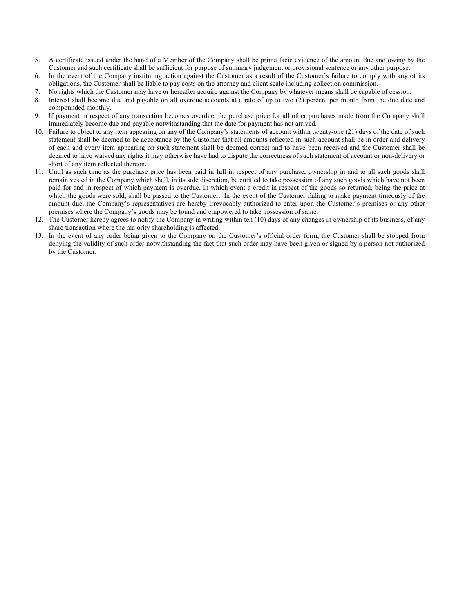- 5. A certificate issued under the hand of a Member of the Company shall be prima facie evidence of the amount due and owing by the Customer and such certificate shall be sufficient for purpose of summary judgement or provisional sentence or any other purpose.
- 6. In the event of the Company instituting action against the Customer as a result of the Customer's failure to comply with any of its obligations, the Customer shall be liable to pay costs on the attorney and client scale including collection commission.
- 7. No rights which the Customer may have or hereafter acquire against the Company by whatever means shall be capable of cession.
- 8. Interest shall become due and payable on all overdue accounts at a rate of up to two (2) percent per month from the due date and compounded monthly.
- 9. If payment in respect of any transaction becomes overdue, the purchase price for all other purchases made from the Company shall immediately become due and payable notwithstanding that the date for payment has not arrived.
- 10. Failure to object to any item appearing on any of the Company's statements of account within twenty-one (21) days of the date of such statement shall be deemed to be acceptance by the Customer that all amounts reflected in such account shall be in order and delivery of each and every item appearing on such statement shall be deemed correct and to have been received and the Customer shall be deemed to have waived any rights it may otherwise have had to dispute the correctness of such statement of account or non-delivery or short of any item reflected thereon.
- 11. Until as such time as the purchase price has been paid in full in respect of any purchase, ownership in and to all such goods shall remain vested in the Company which shall, in its sole discretion, be entitled to take possession of any such goods which have not been paid for and in respect of which payment is overdue, in which event a credit in respect of the goods so returned, being the price at which the goods were sold, shall be passed to the Customer. In the event of the Customer failing to make payment timeously of the amount due, the Company's representatives are hereby irrevocably authorized to enter upon the Customer's premises or any other premises where the Company's goods may be found and empowered to take possession of same.
- 12. The Customer hereby agrees to notify the Company in writing within ten (10) days of any changes in ownership of its business, of any share transaction where the majority shareholding is affected.
- 13. In the event of any order being given to the Company on the Customer's official order form, the Customer shall be stopped from denying the validity of such order notwithstanding the fact that such order may have been given or signed by a person not authorized by the Customer.